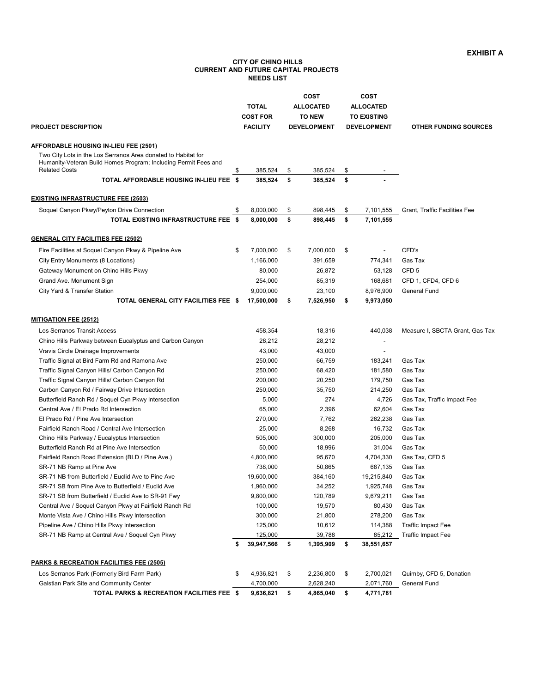### **CITY OF CHINO HILLS CURRENT AND FUTURE CAPITAL PROJECTS NEEDS LIST**

|                                                                                                                                                                           | <b>TOTAL</b>                       | COST<br><b>ALLOCATED</b> |                                     | COST<br><b>ALLOCATED</b> |                                          |                                 |
|---------------------------------------------------------------------------------------------------------------------------------------------------------------------------|------------------------------------|--------------------------|-------------------------------------|--------------------------|------------------------------------------|---------------------------------|
| <b>PROJECT DESCRIPTION</b>                                                                                                                                                | <b>COST FOR</b><br><b>FACILITY</b> |                          | <b>TO NEW</b><br><b>DEVELOPMENT</b> |                          | <b>TO EXISTING</b><br><b>DEVELOPMENT</b> | <b>OTHER FUNDING SOURCES</b>    |
|                                                                                                                                                                           |                                    |                          |                                     |                          |                                          |                                 |
| AFFORDABLE HOUSING IN-LIEU FEE (2501)<br>Two City Lots in the Los Serranos Area donated to Habitat for<br>Humanity-Veteran Build Homes Program; Including Permit Fees and |                                    |                          |                                     |                          |                                          |                                 |
| <b>Related Costs</b>                                                                                                                                                      | \$<br>385,524                      | \$                       | 385,524                             | \$                       |                                          |                                 |
| TOTAL AFFORDABLE HOUSING IN-LIEU FEE \$                                                                                                                                   | 385,524                            | \$                       | 385,524                             | \$                       |                                          |                                 |
| <b>EXISTING INFRASTRUCTURE FEE (2503)</b>                                                                                                                                 |                                    |                          |                                     |                          |                                          |                                 |
| Soquel Canyon Pkwy/Peyton Drive Connection                                                                                                                                | \$<br>8,000,000                    | \$                       | 898,445                             | \$                       | 7,101,555                                | Grant, Traffic Facilities Fee   |
| TOTAL EXISTING INFRASTRUCTURE FEE \$                                                                                                                                      | 8,000,000                          | \$                       | 898,445                             | \$                       | 7,101,555                                |                                 |
| <b>GENERAL CITY FACILITIES FEE (2502)</b>                                                                                                                                 |                                    |                          |                                     |                          |                                          |                                 |
| Fire Facilities at Soquel Canyon Pkwy & Pipeline Ave                                                                                                                      | \$<br>7,000,000                    | \$                       | 7,000,000                           | \$                       |                                          | CFD's                           |
| City Entry Monuments (8 Locations)                                                                                                                                        | 1,166,000                          |                          | 391,659                             |                          | 774,341                                  | Gas Tax                         |
| Gateway Monument on Chino Hills Pkwy                                                                                                                                      | 80,000                             |                          | 26,872                              |                          | 53,128                                   | CFD <sub>5</sub>                |
| Grand Ave. Monument Sign                                                                                                                                                  | 254,000                            |                          | 85,319                              |                          | 168,681                                  | CFD 1, CFD4, CFD 6              |
| City Yard & Transfer Station                                                                                                                                              | 9,000,000                          |                          | 23,100                              |                          | 8,976,900                                | <b>General Fund</b>             |
| TOTAL GENERAL CITY FACILITIES FEE \$                                                                                                                                      | 17,500,000                         | \$                       | 7,526,950                           | \$                       | 9,973,050                                |                                 |
| <b>MITIGATION FEE (2512)</b>                                                                                                                                              |                                    |                          |                                     |                          |                                          |                                 |
| Los Serranos Transit Access                                                                                                                                               | 458,354                            |                          | 18,316                              |                          | 440,038                                  | Measure I, SBCTA Grant, Gas Tax |
| Chino Hills Parkway between Eucalyptus and Carbon Canyon                                                                                                                  | 28,212                             |                          | 28,212                              |                          |                                          |                                 |
| Vravis Circle Drainage Improvements                                                                                                                                       | 43,000                             |                          | 43,000                              |                          | $\overline{\phantom{a}}$                 |                                 |
| Traffic Signal at Bird Farm Rd and Ramona Ave                                                                                                                             | 250,000                            |                          | 66,759                              |                          | 183,241                                  | Gas Tax                         |
| Traffic Signal Canyon Hills/ Carbon Canyon Rd                                                                                                                             | 250,000                            |                          | 68,420                              |                          | 181,580                                  | Gas Tax                         |
| Traffic Signal Canyon Hills/ Carbon Canyon Rd                                                                                                                             | 200,000                            |                          | 20,250                              |                          | 179,750                                  | Gas Tax                         |
| Carbon Canyon Rd / Fairway Drive Intersection                                                                                                                             | 250,000                            |                          | 35,750                              |                          | 214,250                                  | Gas Tax                         |
| Butterfield Ranch Rd / Soquel Cyn Pkwy Intersection                                                                                                                       | 5,000                              |                          | 274                                 |                          | 4,726                                    | Gas Tax, Traffic Impact Fee     |
| Central Ave / El Prado Rd Intersection                                                                                                                                    | 65,000                             |                          | 2,396                               |                          | 62,604                                   | Gas Tax                         |
| El Prado Rd / Pine Ave Intersection                                                                                                                                       | 270,000                            |                          | 7,762                               |                          | 262,238                                  | Gas Tax                         |
| Fairfield Ranch Road / Central Ave Intersection                                                                                                                           | 25,000                             |                          | 8,268                               |                          | 16,732                                   | Gas Tax                         |
| Chino Hills Parkway / Eucalyptus Intersection                                                                                                                             | 505,000                            |                          | 300,000                             |                          | 205,000                                  | Gas Tax                         |
| Butterfield Ranch Rd at Pine Ave Intersection                                                                                                                             | 50,000                             |                          | 18,996                              |                          | 31,004                                   | Gas Tax                         |
| Fairfield Ranch Road Extension (BLD / Pine Ave.)                                                                                                                          | 4,800,000                          |                          | 95,670                              |                          | 4,704,330                                | Gas Tax, CFD 5                  |
| SR-71 NB Ramp at Pine Ave                                                                                                                                                 | 738,000                            |                          | 50,865                              |                          | 687,135                                  | Gas Tax                         |
| SR-71 NB from Butterfield / Euclid Ave to Pine Ave                                                                                                                        | 19,600,000                         |                          | 384,160                             |                          | 19,215,840                               | Gas Tax                         |
| SR-71 SB from Pine Ave to Butterfield / Euclid Ave                                                                                                                        | 1,960,000                          |                          | 34,252                              |                          | 1,925,748                                | Gas Tax                         |
| SR-71 SB from Butterfield / Euclid Ave to SR-91 Fwy                                                                                                                       | 9,800,000                          |                          | 120,789                             |                          | 9,679,211                                | Gas Tax                         |
| Central Ave / Soquel Canyon Pkwy at Fairfield Ranch Rd                                                                                                                    | 100,000                            |                          | 19,570                              |                          | 80,430                                   | Gas Tax                         |
| Monte Vista Ave / Chino Hills Pkwy Intersection                                                                                                                           | 300,000                            |                          | 21,800                              |                          | 278,200                                  | Gas Tax                         |
| Pipeline Ave / Chino Hills Pkwy Intersection                                                                                                                              | 125,000                            |                          | 10,612                              |                          | 114,388                                  | Traffic Impact Fee              |
| SR-71 NB Ramp at Central Ave / Soquel Cyn Pkwy                                                                                                                            | \$<br>125,000<br>39,947,566        | \$                       | 39,788<br>1,395,909                 | \$                       | 85,212<br>38,551,657                     | <b>Traffic Impact Fee</b>       |
|                                                                                                                                                                           |                                    |                          |                                     |                          |                                          |                                 |
| <b>PARKS &amp; RECREATION FACILITIES FEE (2505)</b>                                                                                                                       |                                    |                          |                                     |                          |                                          |                                 |
| Los Serranos Park (Formerly Bird Farm Park)                                                                                                                               | \$<br>4,936,821                    | \$                       | 2,236,800                           | \$                       | 2,700,021                                | Quimby, CFD 5, Donation         |
| Galstian Park Site and Community Center                                                                                                                                   | 4,700,000                          |                          | 2,628,240                           |                          | 2,071,760                                | General Fund                    |
| TOTAL PARKS & RECREATION FACILITIES FEE \$                                                                                                                                | 9,636,821                          | \$                       | 4,865,040                           | \$                       | 4,771,781                                |                                 |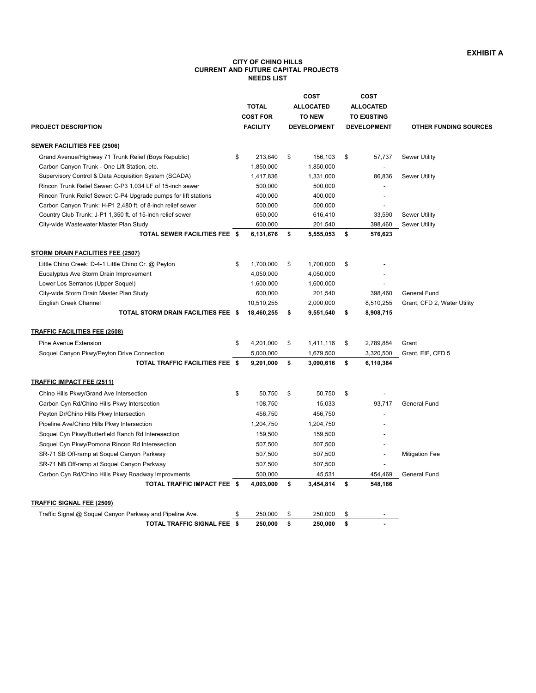# **EXHIBIT A**

### **CITY OF CHINO HILLS CURRENT AND FUTURE CAPITAL PROJECTS NEEDS LIST**

| <b>FACILITY</b><br><b>DEVELOPMENT</b><br>PROJECT DESCRIPTION<br><b>DEVELOPMENT</b><br><b>OTHER FUNDING SOURCES</b><br><b>SEWER FACILITIES FEE (2506)</b><br>Grand Avenue/Highway 71 Trunk Relief (Boys Republic)<br>\$<br>213,840<br>\$<br>156,103<br>\$<br>57,737<br><b>Sewer Utility</b><br>Carbon Canyon Trunk - One Lift Station, etc.<br>1,850,000<br>1,850,000<br>Supervisory Control & Data Acquisition System (SCADA)<br>1,417,836<br>1,331,000<br><b>Sewer Utility</b><br>86,836<br>Rincon Trunk Relief Sewer: C-P3 1,034 LF of 15-inch sewer<br>500,000<br>500,000<br>Rincon Trunk Relief Sewer: C-P4 Upgrade pumps for lift stations<br>400,000<br>400,000<br>Carbon Canyon Trunk: H-P1 2,480 ft. of 8-inch relief sewer<br>500,000<br>500,000<br>650,000<br>616,410<br>Country Club Trunk: J-P1 1,350 ft. of 15-inch relief sewer<br>33,590<br><b>Sewer Utility</b><br>City-wide Wastewater Master Plan Study<br>600,000<br>201,540<br>398,460<br><b>Sewer Utility</b><br>TOTAL SEWER FACILITIES FEE \$<br>6,131,676<br>\$<br>\$<br>576,623<br>5,555,053<br>STORM DRAIN FACILITIES FEE (2507)<br>Little Chino Creek: D-4-1 Little Chino Cr. @ Peyton<br>1,700,000<br>\$<br>1,700,000<br>\$<br>\$<br>Eucalyptus Ave Storm Drain Improvement<br>4,050,000<br>4,050,000<br>Lower Los Serranos (Upper Soquel)<br>1,600,000<br>1,600,000<br>City-wide Storm Drain Master Plan Study<br>600,000<br>201,540<br>398,460<br>General Fund<br>10,510,255<br>2,000,000<br>English Creek Channel<br>8,510,255<br>Grant, CFD 2, Water Utility<br>TOTAL STORM DRAIN FACILITIES FEE \$<br>18,460,255<br>9,551,540<br>\$<br>\$<br>8,908,715<br><b>TRAFFIC FACILITIES FEE (2508)</b><br>Pine Avenue Extension<br>\$<br>4,201,000<br>\$<br>1,411,116<br>\$<br>2,789,884<br>Grant<br>Soquel Canyon Pkwy/Peyton Drive Connection<br>5,000,000<br>1,679,500<br>3,320,500<br>Grant, EIF, CFD 5<br>TOTAL TRAFFIC FACILITIES FEE \$<br>9,201,000<br>\$<br>3,090,616<br>\$<br>6,110,384<br><b>TRAFFIC IMPACT FEE (2511)</b><br>50,750<br>Chino Hills Pkwy/Grand Ave Intersection<br>\$<br>\$<br>50,750<br>\$ |
|------------------------------------------------------------------------------------------------------------------------------------------------------------------------------------------------------------------------------------------------------------------------------------------------------------------------------------------------------------------------------------------------------------------------------------------------------------------------------------------------------------------------------------------------------------------------------------------------------------------------------------------------------------------------------------------------------------------------------------------------------------------------------------------------------------------------------------------------------------------------------------------------------------------------------------------------------------------------------------------------------------------------------------------------------------------------------------------------------------------------------------------------------------------------------------------------------------------------------------------------------------------------------------------------------------------------------------------------------------------------------------------------------------------------------------------------------------------------------------------------------------------------------------------------------------------------------------------------------------------------------------------------------------------------------------------------------------------------------------------------------------------------------------------------------------------------------------------------------------------------------------------------------------------------------------------------------------------------------------------------------------------------------------------------------------------------------------------------|
|                                                                                                                                                                                                                                                                                                                                                                                                                                                                                                                                                                                                                                                                                                                                                                                                                                                                                                                                                                                                                                                                                                                                                                                                                                                                                                                                                                                                                                                                                                                                                                                                                                                                                                                                                                                                                                                                                                                                                                                                                                                                                                |
|                                                                                                                                                                                                                                                                                                                                                                                                                                                                                                                                                                                                                                                                                                                                                                                                                                                                                                                                                                                                                                                                                                                                                                                                                                                                                                                                                                                                                                                                                                                                                                                                                                                                                                                                                                                                                                                                                                                                                                                                                                                                                                |
|                                                                                                                                                                                                                                                                                                                                                                                                                                                                                                                                                                                                                                                                                                                                                                                                                                                                                                                                                                                                                                                                                                                                                                                                                                                                                                                                                                                                                                                                                                                                                                                                                                                                                                                                                                                                                                                                                                                                                                                                                                                                                                |
|                                                                                                                                                                                                                                                                                                                                                                                                                                                                                                                                                                                                                                                                                                                                                                                                                                                                                                                                                                                                                                                                                                                                                                                                                                                                                                                                                                                                                                                                                                                                                                                                                                                                                                                                                                                                                                                                                                                                                                                                                                                                                                |
|                                                                                                                                                                                                                                                                                                                                                                                                                                                                                                                                                                                                                                                                                                                                                                                                                                                                                                                                                                                                                                                                                                                                                                                                                                                                                                                                                                                                                                                                                                                                                                                                                                                                                                                                                                                                                                                                                                                                                                                                                                                                                                |
|                                                                                                                                                                                                                                                                                                                                                                                                                                                                                                                                                                                                                                                                                                                                                                                                                                                                                                                                                                                                                                                                                                                                                                                                                                                                                                                                                                                                                                                                                                                                                                                                                                                                                                                                                                                                                                                                                                                                                                                                                                                                                                |
|                                                                                                                                                                                                                                                                                                                                                                                                                                                                                                                                                                                                                                                                                                                                                                                                                                                                                                                                                                                                                                                                                                                                                                                                                                                                                                                                                                                                                                                                                                                                                                                                                                                                                                                                                                                                                                                                                                                                                                                                                                                                                                |
|                                                                                                                                                                                                                                                                                                                                                                                                                                                                                                                                                                                                                                                                                                                                                                                                                                                                                                                                                                                                                                                                                                                                                                                                                                                                                                                                                                                                                                                                                                                                                                                                                                                                                                                                                                                                                                                                                                                                                                                                                                                                                                |
|                                                                                                                                                                                                                                                                                                                                                                                                                                                                                                                                                                                                                                                                                                                                                                                                                                                                                                                                                                                                                                                                                                                                                                                                                                                                                                                                                                                                                                                                                                                                                                                                                                                                                                                                                                                                                                                                                                                                                                                                                                                                                                |
|                                                                                                                                                                                                                                                                                                                                                                                                                                                                                                                                                                                                                                                                                                                                                                                                                                                                                                                                                                                                                                                                                                                                                                                                                                                                                                                                                                                                                                                                                                                                                                                                                                                                                                                                                                                                                                                                                                                                                                                                                                                                                                |
|                                                                                                                                                                                                                                                                                                                                                                                                                                                                                                                                                                                                                                                                                                                                                                                                                                                                                                                                                                                                                                                                                                                                                                                                                                                                                                                                                                                                                                                                                                                                                                                                                                                                                                                                                                                                                                                                                                                                                                                                                                                                                                |
|                                                                                                                                                                                                                                                                                                                                                                                                                                                                                                                                                                                                                                                                                                                                                                                                                                                                                                                                                                                                                                                                                                                                                                                                                                                                                                                                                                                                                                                                                                                                                                                                                                                                                                                                                                                                                                                                                                                                                                                                                                                                                                |
|                                                                                                                                                                                                                                                                                                                                                                                                                                                                                                                                                                                                                                                                                                                                                                                                                                                                                                                                                                                                                                                                                                                                                                                                                                                                                                                                                                                                                                                                                                                                                                                                                                                                                                                                                                                                                                                                                                                                                                                                                                                                                                |
|                                                                                                                                                                                                                                                                                                                                                                                                                                                                                                                                                                                                                                                                                                                                                                                                                                                                                                                                                                                                                                                                                                                                                                                                                                                                                                                                                                                                                                                                                                                                                                                                                                                                                                                                                                                                                                                                                                                                                                                                                                                                                                |
|                                                                                                                                                                                                                                                                                                                                                                                                                                                                                                                                                                                                                                                                                                                                                                                                                                                                                                                                                                                                                                                                                                                                                                                                                                                                                                                                                                                                                                                                                                                                                                                                                                                                                                                                                                                                                                                                                                                                                                                                                                                                                                |
|                                                                                                                                                                                                                                                                                                                                                                                                                                                                                                                                                                                                                                                                                                                                                                                                                                                                                                                                                                                                                                                                                                                                                                                                                                                                                                                                                                                                                                                                                                                                                                                                                                                                                                                                                                                                                                                                                                                                                                                                                                                                                                |
|                                                                                                                                                                                                                                                                                                                                                                                                                                                                                                                                                                                                                                                                                                                                                                                                                                                                                                                                                                                                                                                                                                                                                                                                                                                                                                                                                                                                                                                                                                                                                                                                                                                                                                                                                                                                                                                                                                                                                                                                                                                                                                |
|                                                                                                                                                                                                                                                                                                                                                                                                                                                                                                                                                                                                                                                                                                                                                                                                                                                                                                                                                                                                                                                                                                                                                                                                                                                                                                                                                                                                                                                                                                                                                                                                                                                                                                                                                                                                                                                                                                                                                                                                                                                                                                |
|                                                                                                                                                                                                                                                                                                                                                                                                                                                                                                                                                                                                                                                                                                                                                                                                                                                                                                                                                                                                                                                                                                                                                                                                                                                                                                                                                                                                                                                                                                                                                                                                                                                                                                                                                                                                                                                                                                                                                                                                                                                                                                |
|                                                                                                                                                                                                                                                                                                                                                                                                                                                                                                                                                                                                                                                                                                                                                                                                                                                                                                                                                                                                                                                                                                                                                                                                                                                                                                                                                                                                                                                                                                                                                                                                                                                                                                                                                                                                                                                                                                                                                                                                                                                                                                |
|                                                                                                                                                                                                                                                                                                                                                                                                                                                                                                                                                                                                                                                                                                                                                                                                                                                                                                                                                                                                                                                                                                                                                                                                                                                                                                                                                                                                                                                                                                                                                                                                                                                                                                                                                                                                                                                                                                                                                                                                                                                                                                |
|                                                                                                                                                                                                                                                                                                                                                                                                                                                                                                                                                                                                                                                                                                                                                                                                                                                                                                                                                                                                                                                                                                                                                                                                                                                                                                                                                                                                                                                                                                                                                                                                                                                                                                                                                                                                                                                                                                                                                                                                                                                                                                |
|                                                                                                                                                                                                                                                                                                                                                                                                                                                                                                                                                                                                                                                                                                                                                                                                                                                                                                                                                                                                                                                                                                                                                                                                                                                                                                                                                                                                                                                                                                                                                                                                                                                                                                                                                                                                                                                                                                                                                                                                                                                                                                |
|                                                                                                                                                                                                                                                                                                                                                                                                                                                                                                                                                                                                                                                                                                                                                                                                                                                                                                                                                                                                                                                                                                                                                                                                                                                                                                                                                                                                                                                                                                                                                                                                                                                                                                                                                                                                                                                                                                                                                                                                                                                                                                |
|                                                                                                                                                                                                                                                                                                                                                                                                                                                                                                                                                                                                                                                                                                                                                                                                                                                                                                                                                                                                                                                                                                                                                                                                                                                                                                                                                                                                                                                                                                                                                                                                                                                                                                                                                                                                                                                                                                                                                                                                                                                                                                |
| Carbon Cyn Rd/Chino Hills Pkwy Intersection<br>108,750<br>93,717<br>General Fund<br>15,033                                                                                                                                                                                                                                                                                                                                                                                                                                                                                                                                                                                                                                                                                                                                                                                                                                                                                                                                                                                                                                                                                                                                                                                                                                                                                                                                                                                                                                                                                                                                                                                                                                                                                                                                                                                                                                                                                                                                                                                                     |
| Peyton Dr/Chino Hills Pkwy Intersection<br>456,750<br>456,750                                                                                                                                                                                                                                                                                                                                                                                                                                                                                                                                                                                                                                                                                                                                                                                                                                                                                                                                                                                                                                                                                                                                                                                                                                                                                                                                                                                                                                                                                                                                                                                                                                                                                                                                                                                                                                                                                                                                                                                                                                  |
| Pipeline Ave/Chino Hills Pkwy Intersection<br>1,204,750<br>1,204,750                                                                                                                                                                                                                                                                                                                                                                                                                                                                                                                                                                                                                                                                                                                                                                                                                                                                                                                                                                                                                                                                                                                                                                                                                                                                                                                                                                                                                                                                                                                                                                                                                                                                                                                                                                                                                                                                                                                                                                                                                           |
| Soquel Cyn Pkwy/Butterfield Ranch Rd Interesection<br>159,500<br>159,500                                                                                                                                                                                                                                                                                                                                                                                                                                                                                                                                                                                                                                                                                                                                                                                                                                                                                                                                                                                                                                                                                                                                                                                                                                                                                                                                                                                                                                                                                                                                                                                                                                                                                                                                                                                                                                                                                                                                                                                                                       |
| Soquel Cyn Pkwy/Pomona Rincon Rd Interesection<br>507,500<br>507,500                                                                                                                                                                                                                                                                                                                                                                                                                                                                                                                                                                                                                                                                                                                                                                                                                                                                                                                                                                                                                                                                                                                                                                                                                                                                                                                                                                                                                                                                                                                                                                                                                                                                                                                                                                                                                                                                                                                                                                                                                           |
| SR-71 SB Off-ramp at Soquel Canyon Parkway<br>507,500<br>507,500<br><b>Mitigation Fee</b>                                                                                                                                                                                                                                                                                                                                                                                                                                                                                                                                                                                                                                                                                                                                                                                                                                                                                                                                                                                                                                                                                                                                                                                                                                                                                                                                                                                                                                                                                                                                                                                                                                                                                                                                                                                                                                                                                                                                                                                                      |
| 507,500<br>507,500<br>SR-71 NB Off-ramp at Soquel Canyon Parkway                                                                                                                                                                                                                                                                                                                                                                                                                                                                                                                                                                                                                                                                                                                                                                                                                                                                                                                                                                                                                                                                                                                                                                                                                                                                                                                                                                                                                                                                                                                                                                                                                                                                                                                                                                                                                                                                                                                                                                                                                               |
| Carbon Cyn Rd/Chino Hills Pkwy Roadway Improvments<br>500,000<br>45,531<br>General Fund<br>454,469                                                                                                                                                                                                                                                                                                                                                                                                                                                                                                                                                                                                                                                                                                                                                                                                                                                                                                                                                                                                                                                                                                                                                                                                                                                                                                                                                                                                                                                                                                                                                                                                                                                                                                                                                                                                                                                                                                                                                                                             |
| TOTAL TRAFFIC IMPACT FEE \$<br>4,003,000<br>\$<br>3,454,814<br>\$<br>548,186                                                                                                                                                                                                                                                                                                                                                                                                                                                                                                                                                                                                                                                                                                                                                                                                                                                                                                                                                                                                                                                                                                                                                                                                                                                                                                                                                                                                                                                                                                                                                                                                                                                                                                                                                                                                                                                                                                                                                                                                                   |
| <b>TRAFFIC SIGNAL FEE (2509)</b>                                                                                                                                                                                                                                                                                                                                                                                                                                                                                                                                                                                                                                                                                                                                                                                                                                                                                                                                                                                                                                                                                                                                                                                                                                                                                                                                                                                                                                                                                                                                                                                                                                                                                                                                                                                                                                                                                                                                                                                                                                                               |
| Traffic Signal @ Soquel Canyon Parkway and Pipeline Ave.<br>250,000<br>\$<br>250,000<br>\$<br>\$<br>$\overline{\phantom{a}}$                                                                                                                                                                                                                                                                                                                                                                                                                                                                                                                                                                                                                                                                                                                                                                                                                                                                                                                                                                                                                                                                                                                                                                                                                                                                                                                                                                                                                                                                                                                                                                                                                                                                                                                                                                                                                                                                                                                                                                   |
| TOTAL TRAFFIC SIGNAL FEE<br>- \$<br>250,000<br>\$<br>250,000<br>\$                                                                                                                                                                                                                                                                                                                                                                                                                                                                                                                                                                                                                                                                                                                                                                                                                                                                                                                                                                                                                                                                                                                                                                                                                                                                                                                                                                                                                                                                                                                                                                                                                                                                                                                                                                                                                                                                                                                                                                                                                             |